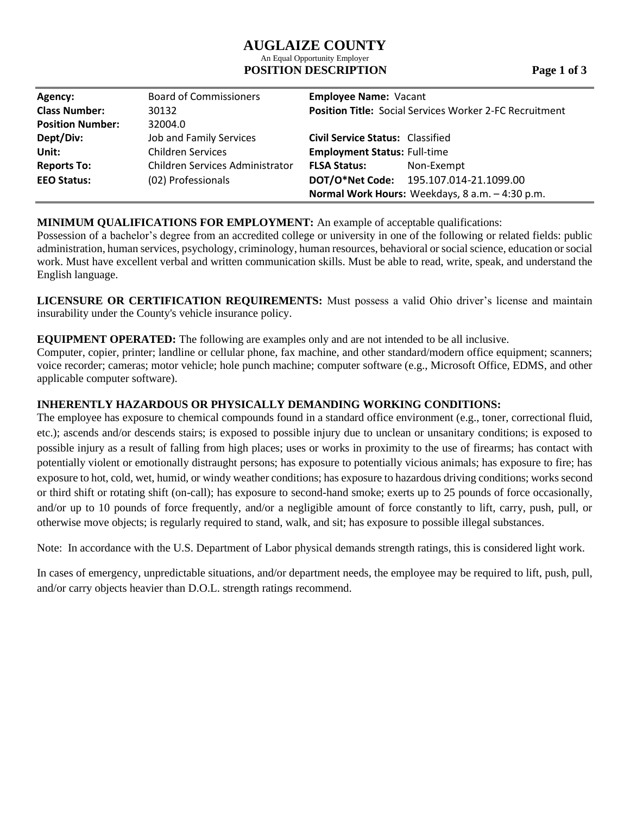# **AUGLAIZE COUNTY**

#### An Equal Opportunity Employer **POSITION DESCRIPTION** Page 1 of 3

| Agency:                 | <b>Board of Commissioners</b>   | <b>Employee Name: Vacant</b>                                   |  |
|-------------------------|---------------------------------|----------------------------------------------------------------|--|
| <b>Class Number:</b>    | 30132                           | <b>Position Title: Social Services Worker 2-FC Recruitment</b> |  |
| <b>Position Number:</b> | 32004.0                         |                                                                |  |
| Dept/Div:               | Job and Family Services         | <b>Civil Service Status: Classified</b>                        |  |
| Unit:                   | <b>Children Services</b>        | <b>Employment Status: Full-time</b>                            |  |
| <b>Reports To:</b>      | Children Services Administrator | <b>FLSA Status:</b><br>Non-Exempt                              |  |
| <b>EEO Status:</b>      | (02) Professionals              | DOT/O*Net Code: 195.107.014-21.1099.00                         |  |
|                         |                                 | Normal Work Hours: Weekdays, 8 a.m. - 4:30 p.m.                |  |

# **MINIMUM QUALIFICATIONS FOR EMPLOYMENT:** An example of acceptable qualifications:

Possession of a bachelor's degree from an accredited college or university in one of the following or related fields: public administration, human services, psychology, criminology, human resources, behavioral or social science, education or social work. Must have excellent verbal and written communication skills. Must be able to read, write, speak, and understand the English language.

**LICENSURE OR CERTIFICATION REQUIREMENTS:** Must possess a valid Ohio driver's license and maintain insurability under the County's vehicle insurance policy.

# **EQUIPMENT OPERATED:** The following are examples only and are not intended to be all inclusive.

Computer, copier, printer; landline or cellular phone, fax machine, and other standard/modern office equipment; scanners; voice recorder; cameras; motor vehicle; hole punch machine; computer software (e.g., Microsoft Office, EDMS, and other applicable computer software).

# **INHERENTLY HAZARDOUS OR PHYSICALLY DEMANDING WORKING CONDITIONS:**

The employee has exposure to chemical compounds found in a standard office environment (e.g., toner, correctional fluid, etc.); ascends and/or descends stairs; is exposed to possible injury due to unclean or unsanitary conditions; is exposed to possible injury as a result of falling from high places; uses or works in proximity to the use of firearms; has contact with potentially violent or emotionally distraught persons; has exposure to potentially vicious animals; has exposure to fire; has exposure to hot, cold, wet, humid, or windy weather conditions; has exposure to hazardous driving conditions; works second or third shift or rotating shift (on-call); has exposure to second-hand smoke; exerts up to 25 pounds of force occasionally, and/or up to 10 pounds of force frequently, and/or a negligible amount of force constantly to lift, carry, push, pull, or otherwise move objects; is regularly required to stand, walk, and sit; has exposure to possible illegal substances.

Note: In accordance with the U.S. Department of Labor physical demands strength ratings, this is considered light work.

In cases of emergency, unpredictable situations, and/or department needs, the employee may be required to lift, push, pull, and/or carry objects heavier than D.O.L. strength ratings recommend.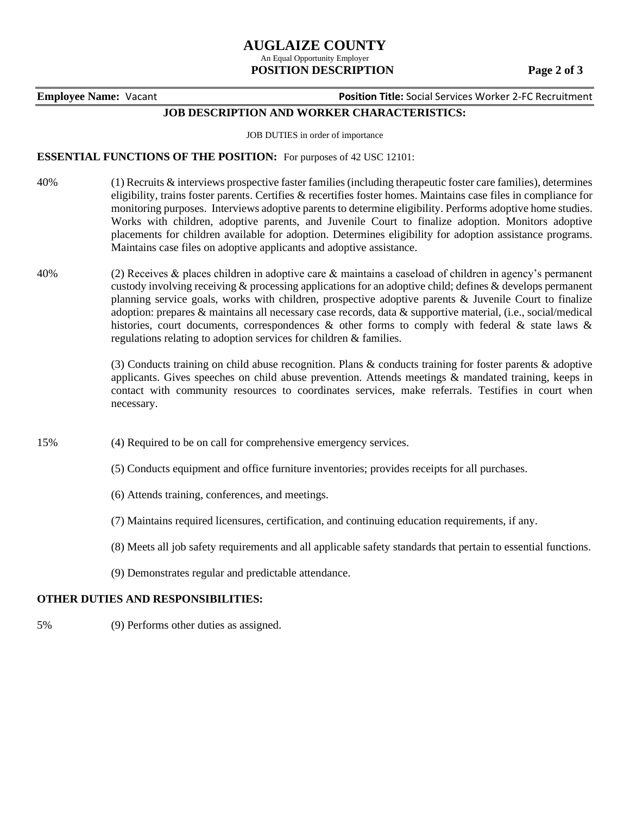# **AUGLAIZE COUNTY**

#### An Equal Opportunity Employer  **POSITION DESCRIPTION Page 2 of 3**

**Employee Name:** Vacant **Position Title:** Social Services Worker 2-FC Recruitment

## **JOB DESCRIPTION AND WORKER CHARACTERISTICS:**

JOB DUTIES in order of importance

#### **ESSENTIAL FUNCTIONS OF THE POSITION:** For purposes of 42 USC 12101:

- 40% (1) Recruits & interviews prospective faster families (including therapeutic foster care families), determines eligibility, trains foster parents. Certifies & recertifies foster homes. Maintains case files in compliance for monitoring purposes. Interviews adoptive parents to determine eligibility. Performs adoptive home studies. Works with children, adoptive parents, and Juvenile Court to finalize adoption. Monitors adoptive placements for children available for adoption. Determines eligibility for adoption assistance programs. Maintains case files on adoptive applicants and adoptive assistance.
- 40% (2) Receives & places children in adoptive care & maintains a caseload of children in agency's permanent custody involving receiving & processing applications for an adoptive child; defines & develops permanent planning service goals, works with children, prospective adoptive parents & Juvenile Court to finalize adoption: prepares & maintains all necessary case records, data & supportive material, (i.e., social/medical histories, court documents, correspondences & other forms to comply with federal & state laws & regulations relating to adoption services for children & families.

(3) Conducts training on child abuse recognition. Plans & conducts training for foster parents & adoptive applicants. Gives speeches on child abuse prevention. Attends meetings & mandated training, keeps in contact with community resources to coordinates services, make referrals. Testifies in court when necessary.

- 15% (4) Required to be on call for comprehensive emergency services.
	- (5) Conducts equipment and office furniture inventories; provides receipts for all purchases.
	- (6) Attends training, conferences, and meetings.
	- (7) Maintains required licensures, certification, and continuing education requirements, if any.
	- (8) Meets all job safety requirements and all applicable safety standards that pertain to essential functions.
	- (9) Demonstrates regular and predictable attendance.

#### **OTHER DUTIES AND RESPONSIBILITIES:**

5% (9) Performs other duties as assigned.